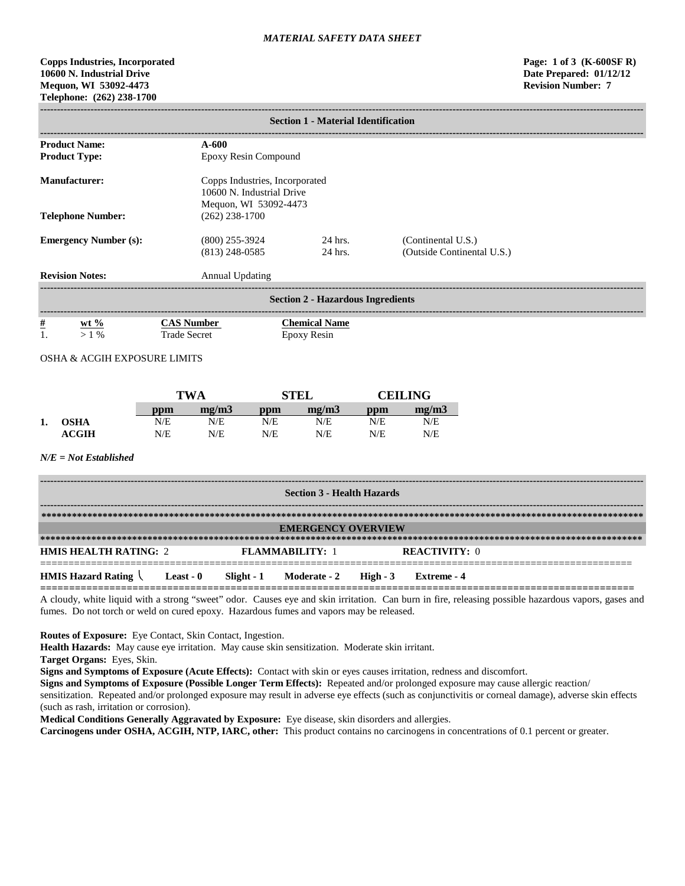# **Copps Industries, Incorporated Page: 1 of 3 (K-600SF R) 10600 N. Industrial Drive Date Prepared: 01/12/12 Mequon, WI 53092-4473 Revision Number: 7 Telephone: (262) 238-1700**

| <b>Section 1 - Material Identification</b> |                     |                                                                                      |     |                      |     |                                                  |  |
|--------------------------------------------|---------------------|--------------------------------------------------------------------------------------|-----|----------------------|-----|--------------------------------------------------|--|
| <b>Product Name:</b>                       |                     | $A-600$                                                                              |     |                      |     |                                                  |  |
| <b>Product Type:</b>                       |                     | Epoxy Resin Compound                                                                 |     |                      |     |                                                  |  |
| <b>Manufacturer:</b>                       |                     | Copps Industries, Incorporated<br>10600 N. Industrial Drive<br>Mequon, WI 53092-4473 |     |                      |     |                                                  |  |
| <b>Telephone Number:</b>                   |                     | $(262)$ 238-1700                                                                     |     |                      |     |                                                  |  |
| <b>Emergency Number (s):</b>               |                     | $(800)$ 255-3924<br>$(813)$ 248-0585                                                 |     | 24 hrs.<br>24 hrs.   |     | (Continental U.S.)<br>(Outside Continental U.S.) |  |
| <b>Revision Notes:</b>                     |                     | <b>Annual Updating</b>                                                               |     |                      |     |                                                  |  |
| <b>Section 2 - Hazardous Ingredients</b>   |                     |                                                                                      |     |                      |     |                                                  |  |
| $\frac{\#}{1}$<br>wt $\%$                  |                     | <b>CAS Number</b>                                                                    |     | <b>Chemical Name</b> |     |                                                  |  |
| $>1\%$                                     | <b>Trade Secret</b> |                                                                                      |     | Epoxy Resin          |     |                                                  |  |
| <b>OSHA &amp; ACGIH EXPOSURE LIMITS</b>    |                     |                                                                                      |     |                      |     |                                                  |  |
|                                            |                     |                                                                                      |     |                      |     |                                                  |  |
|                                            | <b>TWA</b>          |                                                                                      |     | <b>STEL</b>          |     | <b>CEILING</b>                                   |  |
|                                            | ppm                 | mg/m3                                                                                | ppm | mg/m3                | ppm | mg/m3                                            |  |
| <b>OSHA</b><br>1.                          | N/E                 | N/E                                                                                  | N/E | N/E                  | N/E | N/E                                              |  |
| <b>ACGIH</b>                               | N/E                 | N/E                                                                                  | N/E | N/E                  | N/E | N/E                                              |  |
| $N/E = Not$ <i>Established</i>             |                     |                                                                                      |     |                      |     |                                                  |  |

| <b>Section 3 - Health Hazards</b>                               |  |  |                        |  |                      |
|-----------------------------------------------------------------|--|--|------------------------|--|----------------------|
|                                                                 |  |  |                        |  |                      |
| <b>EMERGENCY OVERVIEW</b>                                       |  |  |                        |  |                      |
|                                                                 |  |  |                        |  |                      |
| <b>HMIS HEALTH RATING: 2</b>                                    |  |  | <b>FLAMMARILITY: 1</b> |  | <b>REACTIVITY: 0</b> |
| HMIS Hazard Rating \ Least - 0 Slight - 1 Moderate - 2 High - 3 |  |  |                        |  | - Extreme - 4        |

A cloudy, white liquid with a strong "sweet" odor. Causes eye and skin irritation. Can burn in fire, releasing possible hazardous vapors, gases and fumes. Do not torch or weld on cured epoxy. Hazardous fumes and vapors may be released.

**Routes of Exposure:** Eye Contact, Skin Contact, Ingestion.

**Health Hazards:** May cause eye irritation. May cause skin sensitization. Moderate skin irritant.

**Target Organs:** Eyes, Skin.

**Signs and Symptoms of Exposure (Acute Effects):** Contact with skin or eyes causes irritation, redness and discomfort.

**Signs and Symptoms of Exposure (Possible Longer Term Effects):** Repeated and/or prolonged exposure may cause allergic reaction/ sensitization. Repeated and/or prolonged exposure may result in adverse eye effects (such as conjunctivitis or corneal damage), adverse skin effects (such as rash, irritation or corrosion).

**Medical Conditions Generally Aggravated by Exposure:** Eye disease, skin disorders and allergies.

**Carcinogens under OSHA, ACGIH, NTP, IARC, other:** This product contains no carcinogens in concentrations of 0.1 percent or greater.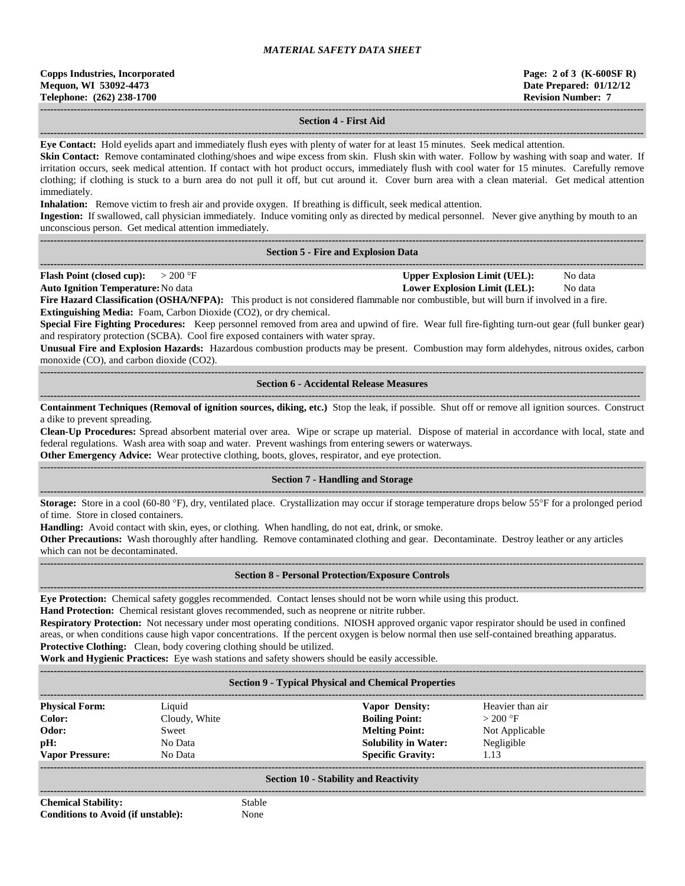| <b>Copps Industries, Incorporated</b> |
|---------------------------------------|
| Mequon, WI 53092-4473                 |
| Telephone: (262) 238-1700             |

### **------------------------------------------------------------------------------------------------------------------------------------------------------------------------------------ Section 4 - First Aid**

**------------------------------------------------------------------------------------------------------------------------------------------------------------------------------------ Eye Contact:** Hold eyelids apart and immediately flush eyes with plenty of water for at least 15 minutes. Seek medical attention.

**Skin Contact:** Remove contaminated clothing/shoes and wipe excess from skin. Flush skin with water. Follow by washing with soap and water. If irritation occurs, seek medical attention. If contact with hot product occurs, immediately flush with cool water for 15 minutes. Carefully remove clothing; if clothing is stuck to a burn area do not pull it off, but cut around it. Cover burn area with a clean material. Get medical attention immediately.

**Inhalation:** Remove victim to fresh air and provide oxygen. If breathing is difficult, seek medical attention.

**Ingestion:** If swallowed, call physician immediately. Induce vomiting only as directed by medical personnel. Never give anything by mouth to an unconscious person. Get medical attention immediately.

#### **------------------------------------------------------------------------------------------------------------------------------------------------------------------------------------ Section 5 - Fire and Explosion Data**

**------------------------------------------------------------------------------------------------------------------------------------------------------------------------------------ Flash Point (closed cup):**  $> 200 \text{ }^{\circ}\text{F}$  **Upper Explosion Limit (UEL):** No data

**Auto Ignition Temperature:**No data **Lower Explosion Limit (LEL):** No data

**Fire Hazard Classification (OSHA/NFPA):** This product is not considered flammable nor combustible, but will burn if involved in a fire. **Extinguishing Media:** Foam, Carbon Dioxide (CO2), or dry chemical.

**Special Fire Fighting Procedures:** Keep personnel removed from area and upwind of fire. Wear full fire-fighting turn-out gear (full bunker gear) and respiratory protection (SCBA). Cool fire exposed containers with water spray.

**Unusual Fire and Explosion Hazards:** Hazardous combustion products may be present. Combustion may form aldehydes, nitrous oxides, carbon monoxide (CO), and carbon dioxide (CO2).

**------------------------------------------------------------------------------------------------------------------------------------------------------------------------------------ Section 6 - Accidental Release Measures**

**----------------------------------------------------------------------------------------------------------------------------------------------------------------------------------- Containment Techniques (Removal of ignition sources, diking, etc.)** Stop the leak, if possible. Shut off or remove all ignition sources. Construct a dike to prevent spreading.

**Clean-Up Procedures:** Spread absorbent material over area. Wipe or scrape up material. Dispose of material in accordance with local, state and federal regulations. Wash area with soap and water. Prevent washings from entering sewers or waterways.

**Other Emergency Advice:** Wear protective clothing, boots, gloves, respirator, and eye protection.

### ------------------------------------------------------------------------------------------------------------------------------------------------------------------------------------ **Section 7 - Handling and Storage**

**------------------------------------------------------------------------------------------------------------------------------------------------------------------------------------ Storage:** Store in a cool (60-80 °F), dry, ventilated place. Crystallization may occur if storage temperature drops below 55°F for a prolonged period of time. Store in closed containers.

**Handling:** Avoid contact with skin, eyes, or clothing. When handling, do not eat, drink, or smoke.

**Other Precautions:** Wash thoroughly after handling. Remove contaminated clothing and gear. Decontaminate. Destroy leather or any articles which can not be decontaminated.

**------------------------------------------------------------------------------------------------------------------------------------------------------------------------------------**

#### **------------------------------------------------------------------------------------------------------------------------------------------------------------------------------------ Section 8 - Personal Protection/Exposure Controls**

**Eye Protection:** Chemical safety goggles recommended. Contact lenses should not be worn while using this product.

**Hand Protection:** Chemical resistant gloves recommended, such as neoprene or nitrite rubber.

**Respiratory Protection:** Not necessary under most operating conditions. NIOSH approved organic vapor respirator should be used in confined areas, or when conditions cause high vapor concentrations. If the percent oxygen is below normal then use self-contained breathing apparatus. **Protective Clothing:** Clean, body covering clothing should be utilized.

**Work and Hygienic Practices:** Eye wash stations and safety showers should be easily accessible.

**------------------------------------------------------------------------------------------------------------------------------------------------------------------------------------**

### **Section 9 - Typical Physical and Chemical Properties**

| <b>Physical Form:</b>  | Liquid        | <b>Vapor Density:</b>       | Heavier than air |
|------------------------|---------------|-----------------------------|------------------|
| Color:                 | Cloudy, White | <b>Boiling Point:</b>       | $>200$ °F        |
| Odor:                  | Sweet         | <b>Melting Point:</b>       | Not Applicable   |
| pH:                    | No Data       | <b>Solubility in Water:</b> | Negligible       |
| <b>Vapor Pressure:</b> | No Data       | <b>Specific Gravity:</b>    | 1.13             |
|                        |               |                             |                  |

#### **Section 10 - Stability and Reactivity**

**------------------------------------------------------------------------------------------------------------------------------------------------------------------------------------ Chemical Stability:** Stable **Conditions to Avoid (if unstable):** None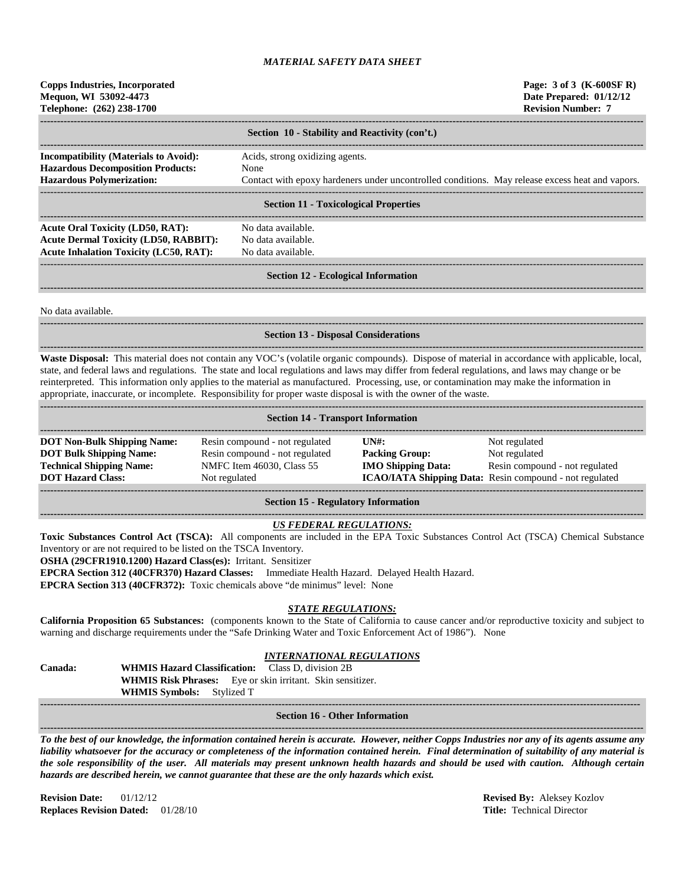| <b>Copps Industries, Incorporated</b><br>Mequon, WI 53092-4473<br>Telephone: (262) 238-1700                                                                                                                                                                                                                                                                                                                                                                                                                                                                             |                                                                                                                |                                                            | Page: 3 of 3 (K-600SF R)<br>Date Prepared: 01/12/12<br><b>Revision Number: 7</b>                                            |  |  |  |  |
|-------------------------------------------------------------------------------------------------------------------------------------------------------------------------------------------------------------------------------------------------------------------------------------------------------------------------------------------------------------------------------------------------------------------------------------------------------------------------------------------------------------------------------------------------------------------------|----------------------------------------------------------------------------------------------------------------|------------------------------------------------------------|-----------------------------------------------------------------------------------------------------------------------------|--|--|--|--|
| Section 10 - Stability and Reactivity (con't.)                                                                                                                                                                                                                                                                                                                                                                                                                                                                                                                          |                                                                                                                |                                                            |                                                                                                                             |  |  |  |  |
| <b>Incompatibility (Materials to Avoid):</b><br><b>Hazardous Decomposition Products:</b><br><b>Hazardous Polymerization:</b>                                                                                                                                                                                                                                                                                                                                                                                                                                            | Acids, strong oxidizing agents.<br>None                                                                        |                                                            | Contact with epoxy hardeners under uncontrolled conditions. May release excess heat and vapors.                             |  |  |  |  |
|                                                                                                                                                                                                                                                                                                                                                                                                                                                                                                                                                                         | <b>Section 11 - Toxicological Properties</b>                                                                   |                                                            |                                                                                                                             |  |  |  |  |
| <b>Acute Oral Toxicity (LD50, RAT):</b><br><b>Acute Dermal Toxicity (LD50, RABBIT):</b><br><b>Acute Inhalation Toxicity (LC50, RAT):</b>                                                                                                                                                                                                                                                                                                                                                                                                                                | No data available.<br>No data available.<br>No data available.                                                 |                                                            |                                                                                                                             |  |  |  |  |
|                                                                                                                                                                                                                                                                                                                                                                                                                                                                                                                                                                         | <b>Section 12 - Ecological Information</b>                                                                     |                                                            |                                                                                                                             |  |  |  |  |
| No data available.                                                                                                                                                                                                                                                                                                                                                                                                                                                                                                                                                      |                                                                                                                |                                                            |                                                                                                                             |  |  |  |  |
|                                                                                                                                                                                                                                                                                                                                                                                                                                                                                                                                                                         | <b>Section 13 - Disposal Considerations</b>                                                                    |                                                            |                                                                                                                             |  |  |  |  |
| Waste Disposal: This material does not contain any VOC's (volatile organic compounds). Dispose of material in accordance with applicable, local,<br>state, and federal laws and regulations. The state and local regulations and laws may differ from federal regulations, and laws may change or be<br>reinterpreted. This information only applies to the material as manufactured. Processing, use, or contamination may make the information in<br>appropriate, inaccurate, or incomplete. Responsibility for proper waste disposal is with the owner of the waste. |                                                                                                                |                                                            |                                                                                                                             |  |  |  |  |
|                                                                                                                                                                                                                                                                                                                                                                                                                                                                                                                                                                         | <b>Section 14 - Transport Information</b>                                                                      |                                                            |                                                                                                                             |  |  |  |  |
| <b>DOT Non-Bulk Shipping Name:</b><br><b>DOT Bulk Shipping Name:</b><br><b>Technical Shipping Name:</b><br><b>DOT Hazard Class:</b>                                                                                                                                                                                                                                                                                                                                                                                                                                     | Resin compound - not regulated<br>Resin compound - not regulated<br>NMFC Item 46030, Class 55<br>Not regulated | UNH:<br><b>Packing Group:</b><br><b>IMO Shipping Data:</b> | Not regulated<br>Not regulated<br>Resin compound - not regulated<br>ICAO/IATA Shipping Data: Resin compound - not regulated |  |  |  |  |

#### **Section 15 - Regulatory Information**

#### **------------------------------------------------------------------------------------------------------------------------------------------------------------------------------------** *US FEDERAL REGULATIONS:*

**Toxic Substances Control Act (TSCA):** All components are included in the EPA Toxic Substances Control Act (TSCA) Chemical Substance Inventory or are not required to be listed on the TSCA Inventory.

**OSHA (29CFR1910.1200) Hazard Class(es):** Irritant. Sensitizer

**EPCRA Section 312 (40CFR370) Hazard Classes:** Immediate Health Hazard. Delayed Health Hazard.

**EPCRA Section 313 (40CFR372):** Toxic chemicals above "de minimus" level: None

# *STATE REGULATIONS:*

**California Proposition 65 Substances:** (components known to the State of California to cause cancer and/or reproductive toxicity and subject to warning and discharge requirements under the "Safe Drinking Water and Toxic Enforcement Act of 1986"). None

### *INTERNATIONAL REGULATIONS*

**Canada: WHMIS Hazard Classification:** Class D, division 2B **WHMIS Risk Phrases:** Eye or skin irritant. Skin sensitizer. **WHMIS Symbols:** Stylized T **-----------------------------------------------------------------------------------------------------------------------------------------------------------------------------------**

**Section 16 - Other Information ------------------------------------------------------------------------------------------------------------------------------------------------------------------------------------**

*To the best of our knowledge, the information contained herein is accurate. However, neither Copps Industries nor any of its agents assume any liability whatsoever for the accuracy or completeness of the information contained herein. Final determination of suitability of any material is the sole responsibility of the user. All materials may present unknown health hazards and should be used with caution. Although certain hazards are described herein, we cannot guarantee that these are the only hazards which exist.*

**Revision Date:** 01/12/12 **Revised By:** Aleksey Kozlov **Replaces Revision Dated:** 01/28/10 **Title:** Technical Director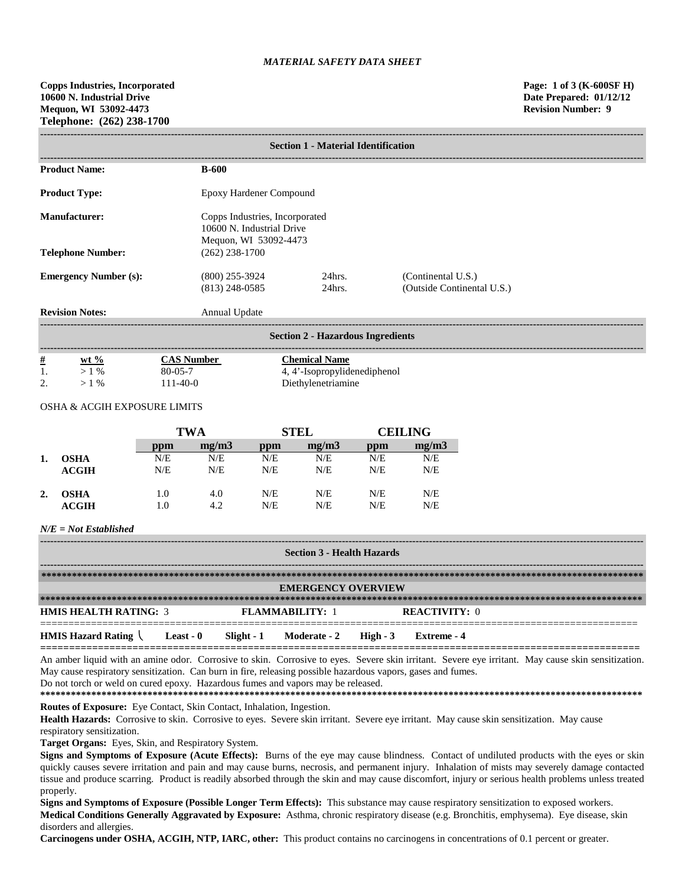| <b>Section 1 - Material Identification</b> |                                                                                      |                        |                                                  |  |  |
|--------------------------------------------|--------------------------------------------------------------------------------------|------------------------|--------------------------------------------------|--|--|
| <b>Product Name:</b>                       | $B-600$                                                                              |                        |                                                  |  |  |
| <b>Product Type:</b>                       | Epoxy Hardener Compound                                                              |                        |                                                  |  |  |
| Manufacturer:                              | Copps Industries, Incorporated<br>10600 N. Industrial Drive<br>Mequon, WI 53092-4473 |                        |                                                  |  |  |
| <b>Telephone Number:</b>                   | $(262)$ 238-1700                                                                     |                        |                                                  |  |  |
| <b>Emergency Number (s):</b>               | $(800)$ 255-3924<br>$(813)$ 248-0585                                                 | $24$ hrs.<br>$24$ hrs. | (Continental U.S.)<br>(Outside Continental U.S.) |  |  |
| <b>Revision Notes:</b>                     | Annual Update                                                                        |                        |                                                  |  |  |
| <b>Section 2 - Hazardous Ingredients</b>   |                                                                                      |                        |                                                  |  |  |

| $\#$             | wt $\%$       | Aumber        | Chemical Name            |
|------------------|---------------|---------------|--------------------------|
| 1.               | $\%$          | $80 - 05 - 7$ | '-Isopropylidenediphenol |
| $\bigcap$<br>، ت | $\frac{0}{0}$ | $1 - 40 - 0$  | Diethylenetriamine       |

### OSHA & ACGIH EXPOSURE LIMITS

|    |             | <b>TWA</b> |       | <b>STEL</b> |       | <b>CEILING</b> |       |
|----|-------------|------------|-------|-------------|-------|----------------|-------|
|    |             | ppm        | mg/m3 | ppm         | mg/m3 | ppm            | mg/m3 |
| 1. | <b>OSHA</b> | N/E        | N/E   | N/E         | N/E   | N/E            | N/E   |
|    | ACGIH       | N/E        | N/E   | N/E         | N/E   | N/E            | N/E   |
| 2. | <b>OSHA</b> | 1.0        | 4.0   | N/E         | N/E   | N/E            | N/E   |
|    | ACGIH       | 1.0        | 4.2   | N/E         | N/E   | N/E            | N/E   |

# *N/E = Not Established*

| <b>Section 3 - Health Hazards</b> |           |             |                           |          |                      |
|-----------------------------------|-----------|-------------|---------------------------|----------|----------------------|
|                                   |           |             |                           |          |                      |
|                                   |           |             |                           |          |                      |
|                                   |           |             | <b>EMERGENCY OVERVIEW</b> |          |                      |
|                                   |           |             |                           |          |                      |
| <b>HMIS HEALTH RATING: 3</b>      |           |             | <b>FLAMMARILITY: 1</b>    |          | <b>REACTIVITY: 0</b> |
| <b>HMIS Hazard Rating</b>         | Least - 0 | Slight $-1$ | <b>Moderate - 2</b>       | High - 3 | Extreme - 4          |

An amber liquid with an amine odor. Corrosive to skin. Corrosive to eyes. Severe skin irritant. Severe eye irritant. May cause skin sensitization. May cause respiratory sensitization. Can burn in fire, releasing possible hazardous vapors, gases and fumes. Do not torch or weld on cured epoxy. Hazardous fumes and vapors may be released.

**========================================================================================================**

**\*\*\*\*\*\*\*\*\*\*\*\*\*\*\*\*\*\*\*\*\*\*\*\*\*\*\*\*\*\*\*\*\*\*\*\*\*\*\*\*\*\*\*\*\*\*\*\*\*\*\*\*\*\*\*\*\*\*\*\*\*\*\*\*\*\*\*\*\*\*\*\*\*\*\*\*\*\*\*\*\*\*\*\*\*\*\*\*\*\*\*\*\*\*\*\*\*\*\*\*\*\*\*\*\*\*\*\*\*\*\*\*\*\*\*\*\*\* Routes of Exposure:** Eye Contact, Skin Contact, Inhalation, Ingestion.

Health Hazards: Corrosive to skin. Corrosive to eyes. Severe skin irritant. Severe eye irritant. May cause skin sensitization. May cause respiratory sensitization.

**Target Organs:** Eyes, Skin, and Respiratory System.

**Signs and Symptoms of Exposure (Acute Effects):** Burns of the eye may cause blindness. Contact of undiluted products with the eyes or skin quickly causes severe irritation and pain and may cause burns, necrosis, and permanent injury. Inhalation of mists may severely damage contacted tissue and produce scarring. Product is readily absorbed through the skin and may cause discomfort, injury or serious health problems unless treated properly.

**Signs and Symptoms of Exposure (Possible Longer Term Effects):** This substance may cause respiratory sensitization to exposed workers. **Medical Conditions Generally Aggravated by Exposure:** Asthma, chronic respiratory disease (e.g. Bronchitis, emphysema). Eye disease, skin disorders and allergies.

**Carcinogens under OSHA, ACGIH, NTP, IARC, other:** This product contains no carcinogens in concentrations of 0.1 percent or greater.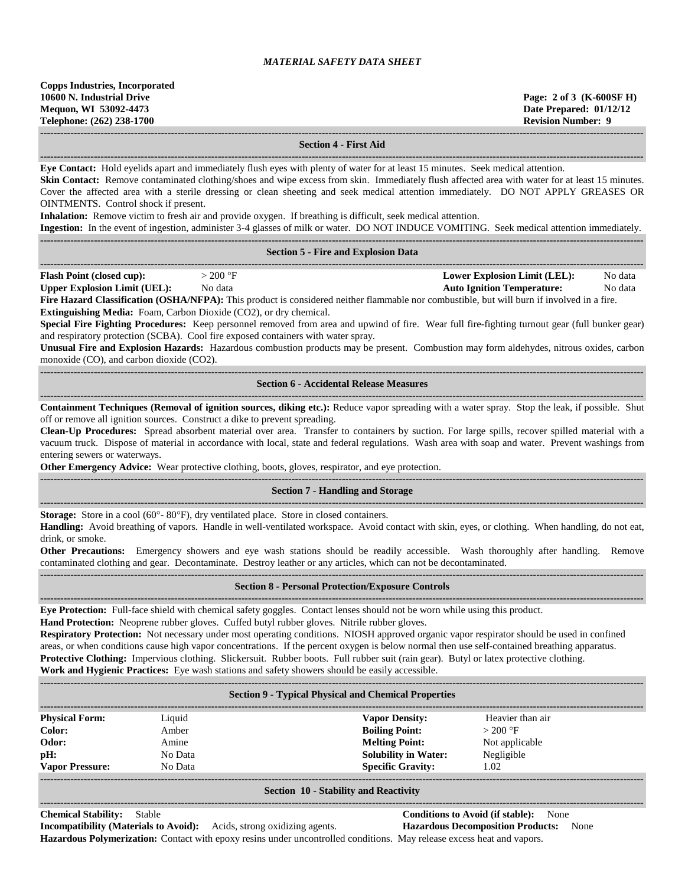**------------------------------------------------------------------------------------------------------------------------------------------------------------------------------------**

**------------------------------------------------------------------------------------------------------------------------------------------------------------------------------------**

### **Section 4 - First Aid**

**Eye Contact:** Hold eyelids apart and immediately flush eyes with plenty of water for at least 15 minutes. Seek medical attention.

Skin Contact: Remove contaminated clothing/shoes and wipe excess from skin. Immediately flush affected area with water for at least 15 minutes. Cover the affected area with a sterile dressing or clean sheeting and seek medical attention immediately. DO NOT APPLY GREASES OR OINTMENTS. Control shock if present.

**Inhalation:** Remove victim to fresh air and provide oxygen. If breathing is difficult, seek medical attention.<br> **Insection:** In the synt of insection, edminister 2.4 slasses of milk or water. DO NOT INDUCE VOMETIME

**Ingestion:** In the event of ingestion, administer 3-4 glasses of milk or water. DO NOT INDUCE VOMITING. Seek medical attention immediately.

|                                                                          | Ingestion: In the event of ingestion, administer 3-4 glasses of milk or water. DO NOT INDUCE VOMITING. Seek medical attention immediately.     |  |                                     |         |  |
|--------------------------------------------------------------------------|------------------------------------------------------------------------------------------------------------------------------------------------|--|-------------------------------------|---------|--|
|                                                                          |                                                                                                                                                |  |                                     |         |  |
| <b>Section 5 - Fire and Explosion Data</b>                               |                                                                                                                                                |  |                                     |         |  |
|                                                                          |                                                                                                                                                |  |                                     |         |  |
| <b>Flash Point (closed cup):</b>                                         | $>200$ °F                                                                                                                                      |  | <b>Lower Explosion Limit (LEL):</b> | No data |  |
| <b>Upper Explosion Limit (UEL):</b>                                      | No data                                                                                                                                        |  | <b>Auto Ignition Temperature:</b>   | No data |  |
|                                                                          | Fire Hazard Classification (OSHA/NFPA): This product is considered neither flammable nor combustible, but will burn if involved in a fire.     |  |                                     |         |  |
| <b>Extinguishing Media:</b> Foam, Carbon Dioxide (CO2), or dry chemical. |                                                                                                                                                |  |                                     |         |  |
|                                                                          | Special Fire Fighting Procedures: Keep personnel removed from area and upwind of fire. Wear full fire-fighting turnout gear (full bunker gear) |  |                                     |         |  |

and respiratory protection (SCBA). Cool fire exposed containers with water spray.

**Unusual Fire and Explosion Hazards:** Hazardous combustion products may be present. Combustion may form aldehydes, nitrous oxides, carbon monoxide (CO), and carbon dioxide (CO2). **------------------------------------------------------------------------------------------------------------------------------------------------------------------------------------**

#### **Section 6 - Accidental Release Measures**

**------------------------------------------------------------------------------------------------------------------------------------------------------------------------------------ Containment Techniques (Removal of ignition sources, diking etc.):** Reduce vapor spreading with a water spray. Stop the leak, if possible. Shut off or remove all ignition sources. Construct a dike to prevent spreading.

**Clean-Up Procedures:** Spread absorbent material over area. Transfer to containers by suction. For large spills, recover spilled material with a vacuum truck. Dispose of material in accordance with local, state and federal regulations. Wash area with soap and water. Prevent washings from entering sewers or waterways.

**Other Emergency Advice:** Wear protective clothing, boots, gloves, respirator, and eye protection. **------------------------------------------------------------------------------------------------------------------------------------------------------------------------------------**

### **Section 7 - Handling and Storage**

**------------------------------------------------------------------------------------------------------------------------------------------------------------------------------------ Storage:** Store in a cool (60°- 80°F), dry ventilated place. Store in closed containers.

**Handling:** Avoid breathing of vapors. Handle in well-ventilated workspace. Avoid contact with skin, eyes, or clothing. When handling, do not eat, drink, or smoke.

**Other Precautions:** Emergency showers and eye wash stations should be readily accessible. Wash thoroughly after handling. Remove contaminated clothing and gear. Decontaminate. Destroy leather or any articles, which can not be decontaminated. **------------------------------------------------------------------------------------------------------------------------------------------------------------------------------------**

### **Section 8 - Personal Protection/Exposure Controls**

**------------------------------------------------------------------------------------------------------------------------------------------------------------------------------------ Eye Protection:** Full-face shield with chemical safety goggles. Contact lenses should not be worn while using this product. **Hand Protection:** Neoprene rubber gloves. Cuffed butyl rubber gloves. Nitrile rubber gloves.

**Respiratory Protection:** Not necessary under most operating conditions. NIOSH approved organic vapor respirator should be used in confined areas, or when conditions cause high vapor concentrations. If the percent oxygen is below normal then use self-contained breathing apparatus. **Protective Clothing:** Impervious clothing. Slickersuit. Rubber boots. Full rubber suit (rain gear). Butyl or latex protective clothing. **Work and Hygienic Practices:** Eye wash stations and safety showers should be easily accessible.

| <b>Section 9 - Typical Physical and Chemical Properties</b> |         |                             |                  |  |  |
|-------------------------------------------------------------|---------|-----------------------------|------------------|--|--|
| <b>Physical Form:</b>                                       | Liquid  | <b>Vapor Density:</b>       | Heavier than air |  |  |
| Color:                                                      | Amber   | <b>Boiling Point:</b>       | $>200$ °F        |  |  |
| Odor:                                                       | Amine   | <b>Melting Point:</b>       | Not applicable   |  |  |
| pH:                                                         | No Data | <b>Solubility in Water:</b> | Negligible       |  |  |
| <b>Vapor Pressure:</b>                                      | No Data | <b>Specific Gravity:</b>    | 1.02             |  |  |
|                                                             |         |                             |                  |  |  |

#### **Section 10 - Stability and Reactivity**

**------------------------------------------------------------------------------------------------------------------------------------------------------------------------------------**

**Chemical Stability:** Stable **Conditions to Avoid (if stable):** None **Incompatibility (Materials to Avoid):** Acids, strong oxidizing agents. **Hazardous Decomposition Products:** None **Hazardous Polymerization:** Contact with epoxy resins under uncontrolled conditions. May release excess heat and vapors.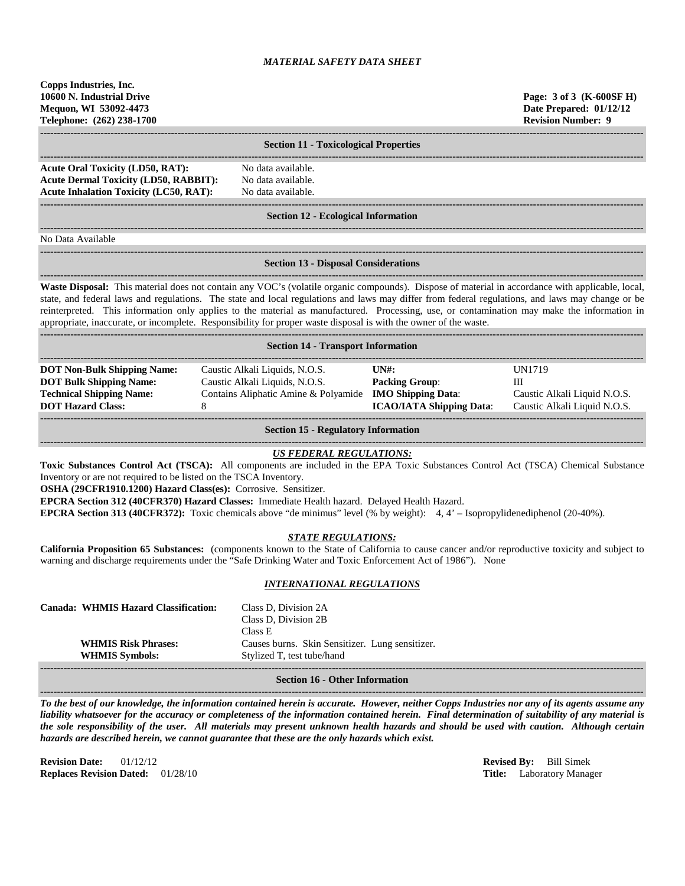**Copps Industries, Inc. 10600 N. Industrial Drive Page: 3 of 3 (K-600SF H) Mequon, WI 53092-4473 Date Prepared: 01/12/12 Telephone: (262) 238-1700 Revision Number: 9**

**------------------------------------------------------------------------------------------------------------------------------------------------------------------------------------ Section 11 - Toxicological Properties ------------------------------------------------------------------------------------------------------------------------------------------------------------------------------------ Acute Oral Toxicity (LD50, RAT):** No data available. **Acute Dermal Toxicity (LD50, RABBIT):** No data available. **Acute Inhalation Toxicity (LC50, RAT):** No data available. **------------------------------------------------------------------------------------------------------------------------------------------------------------------------------------ Section 12 - Ecological Information ------------------------------------------------------------------------------------------------------------------------------------------------------------------------------------** No Data Available **------------------------------------------------------------------------------------------------------------------------------------------------------------------------------------**

### **Section 13 - Disposal Considerations**

**------------------------------------------------------------------------------------------------------------------------------------------------------------------------------------ Waste Disposal:** This material does not contain any VOC's (volatile organic compounds). Dispose of material in accordance with applicable, local, state, and federal laws and regulations. The state and local regulations and laws may differ from federal regulations, and laws may change or be reinterpreted. This information only applies to the material as manufactured. Processing, use, or contamination may make the information in appropriate, inaccurate, or incomplete. Responsibility for proper waste disposal is with the owner of the waste.

| <b>Section 14 - Transport Information</b> |                                                                |                                 |                              |  |  |
|-------------------------------------------|----------------------------------------------------------------|---------------------------------|------------------------------|--|--|
|                                           |                                                                |                                 |                              |  |  |
| <b>DOT Non-Bulk Shipping Name:</b>        | Caustic Alkali Liquids, N.O.S.                                 | IINH:                           | <b>IN1719</b>                |  |  |
| <b>DOT Bulk Shipping Name:</b>            | Caustic Alkali Liquids, N.O.S.                                 | <b>Packing Group:</b>           |                              |  |  |
| <b>Technical Shipping Name:</b>           | Contains Aliphatic Amine & Polyamide <b>IMO Shipping Data:</b> |                                 | Caustic Alkali Liquid N.O.S. |  |  |
| <b>DOT Hazard Class:</b>                  |                                                                | <b>ICAO/IATA Shipping Data:</b> | Caustic Alkali Liquid N.O.S. |  |  |
|                                           |                                                                |                                 |                              |  |  |
|                                           |                                                                |                                 |                              |  |  |

**Section 15 - Regulatory Information**

#### **------------------------------------------------------------------------------------------------------------------------------------------------------------------------------------** *US FEDERAL REGULATIONS:*

**Toxic Substances Control Act (TSCA):** All components are included in the EPA Toxic Substances Control Act (TSCA) Chemical Substance Inventory or are not required to be listed on the TSCA Inventory.

**OSHA (29CFR1910.1200) Hazard Class(es):** Corrosive. Sensitizer.

**EPCRA Section 312 (40CFR370) Hazard Classes:** Immediate Health hazard. Delayed Health Hazard.

**EPCRA Section 313 (40CFR372):** Toxic chemicals above "de minimus" level (% by weight): 4, 4' – Isopropylidenediphenol (20-40%).

### *STATE REGULATIONS:*

**California Proposition 65 Substances:** (components known to the State of California to cause cancer and/or reproductive toxicity and subject to warning and discharge requirements under the "Safe Drinking Water and Toxic Enforcement Act of 1986"). None

### *INTERNATIONAL REGULATIONS*

| <b>WHMIS Risk Phrases:</b>            | Class D. Division 2B<br>Class E<br>Causes burns. Skin Sensitizer. Lung sensitizer. |  |  |  |
|---------------------------------------|------------------------------------------------------------------------------------|--|--|--|
|                                       |                                                                                    |  |  |  |
| <b>WHMIS Symbols:</b>                 | Stylized T, test tube/hand                                                         |  |  |  |
|                                       |                                                                                    |  |  |  |
| <b>Section 16 - Other Information</b> |                                                                                    |  |  |  |

*To the best of our knowledge, the information contained herein is accurate. However, neither Copps Industries nor any of its agents assume any liability whatsoever for the accuracy or completeness of the information contained herein. Final determination of suitability of any material is the sole responsibility of the user. All materials may present unknown health hazards and should be used with caution. Although certain hazards are described herein, we cannot guarantee that these are the only hazards which exist.*

**Revision Date:** 01/12/12 **Revised By:** Bill Simek **Replaces Revision Dated:** 01/28/10 **Title:** Laboratory Manager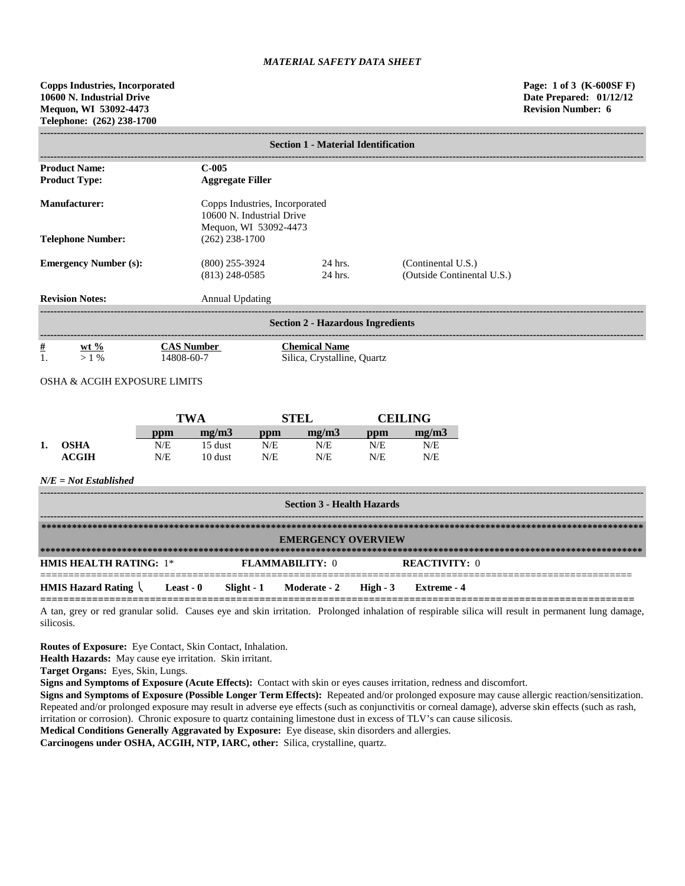| <b>Section 1 - Material Identification</b>                                                                   |                                      |                                                     |                                                  |  |  |  |
|--------------------------------------------------------------------------------------------------------------|--------------------------------------|-----------------------------------------------------|--------------------------------------------------|--|--|--|
| <b>Product Name:</b><br>$C-005$<br><b>Product Type:</b><br><b>Aggregate Filler</b>                           |                                      |                                                     |                                                  |  |  |  |
| <b>Manufacturer:</b><br>Copps Industries, Incorporated<br>10600 N. Industrial Drive<br>Mequon, WI 53092-4473 |                                      |                                                     |                                                  |  |  |  |
| <b>Telephone Number:</b>                                                                                     | $(262)$ 238-1700                     |                                                     |                                                  |  |  |  |
| <b>Emergency Number (s):</b>                                                                                 | $(800)$ 255-3924<br>$(813)$ 248-0585 | 24 hrs.<br>24 hrs.                                  | (Continental U.S.)<br>(Outside Continental U.S.) |  |  |  |
| <b>Revision Notes:</b>                                                                                       | Annual Updating                      |                                                     |                                                  |  |  |  |
| <b>Section 2 - Hazardous Ingredients</b>                                                                     |                                      |                                                     |                                                  |  |  |  |
| $\frac{\#}{1}$<br>$\frac{\text{wt } 9/6}{>1\%}$<br><b>OSHA &amp; ACGIH EXPOSURE LIMITS</b>                   | <b>CAS Number</b><br>14808-60-7      | <b>Chemical Name</b><br>Silica, Crystalline, Quartz |                                                  |  |  |  |

|    |              | <b>TWA</b> |         | STEL       |       | <b>CEILING</b> |       |
|----|--------------|------------|---------|------------|-------|----------------|-------|
|    |              | ppm        | me/m3   | $\bf{ppm}$ | mg/m3 | ppm            | me/m3 |
| ı. | <b>OSHA</b>  | N/E        | 15 dust | N/E        | N/E   | N/E            | N/E   |
|    | <b>ACGIH</b> | N/E        | 10 dust | N/E        | N/E   | N/E            | N/E   |

### *N/E = Not Established*

| <b>Section 3 - Health Hazards</b>                             |  |  |                        |  |                      |
|---------------------------------------------------------------|--|--|------------------------|--|----------------------|
| <b>EMERGENCY OVERVIEW</b>                                     |  |  |                        |  |                      |
| <b>HMIS HEALTH RATING: 1*</b>                                 |  |  | <b>FLAMMARILITY: 0</b> |  | <b>REACTIVITY:</b> 0 |
| HMIS Hazard Rating Least - 0 Slight - 1 Moderate - 2 High - 3 |  |  |                        |  | Extreme - 4          |

A tan, grey or red granular solid. Causes eye and skin irritation. Prolonged inhalation of respirable silica will result in permanent lung damage, silicosis.

**Routes of Exposure:** Eye Contact, Skin Contact, Inhalation.

**Health Hazards:** May cause eye irritation. Skin irritant.

**Target Organs:** Eyes, Skin, Lungs.

**Signs and Symptoms of Exposure (Acute Effects):** Contact with skin or eyes causes irritation, redness and discomfort.

**Signs and Symptoms of Exposure (Possible Longer Term Effects):** Repeated and/or prolonged exposure may cause allergic reaction/sensitization. Repeated and/or prolonged exposure may result in adverse eye effects (such as conjunctivitis or corneal damage), adverse skin effects (such as rash, irritation or corrosion). Chronic exposure to quartz containing limestone dust in excess of TLV's can cause silicosis.

**Medical Conditions Generally Aggravated by Exposure:** Eye disease, skin disorders and allergies.

**Carcinogens under OSHA, ACGIH, NTP, IARC, other:** Silica, crystalline, quartz.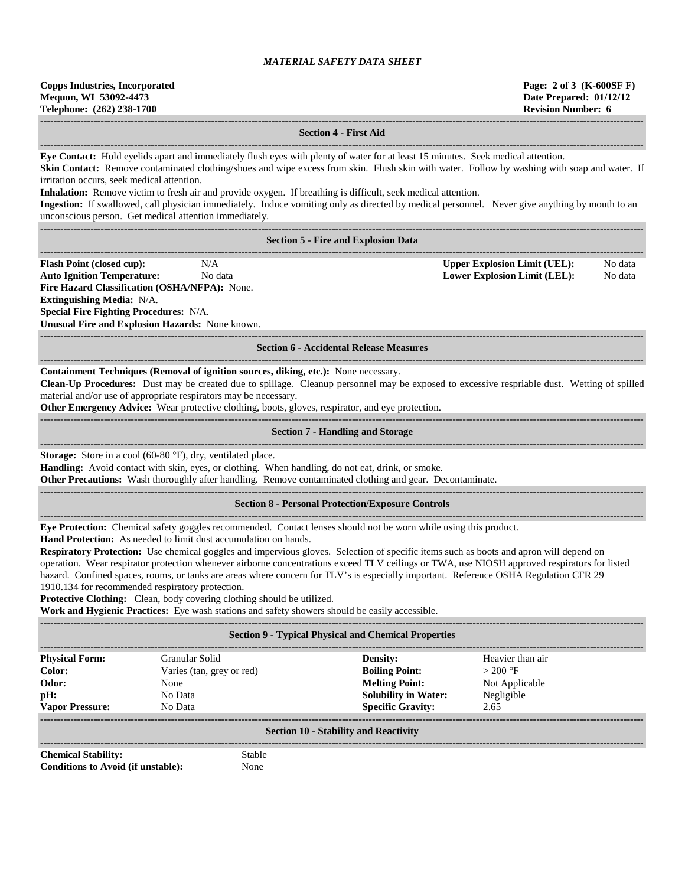| <b>Copps Industries, Incorporated</b> |
|---------------------------------------|
| Mequon, WI 53092-4473                 |
| Telephone: (262) 238-1700             |

**Copps Industries, Incorporated Page: 2 of 3 (K-600SF F) Date Prepared: 01/12/12 Revision Number: 6** 

**------------------------------------------------------------------------------------------------------------------------------------------------------------------------------------ Section 4 - First Aid ------------------------------------------------------------------------------------------------------------------------------------------------------------------------------------ Eye Contact:** Hold eyelids apart and immediately flush eyes with plenty of water for at least 15 minutes. Seek medical attention. **Skin Contact:** Remove contaminated clothing/shoes and wipe excess from skin. Flush skin with water. Follow by washing with soap and water. If irritation occurs, seek medical attention. **Inhalation:** Remove victim to fresh air and provide oxygen. If breathing is difficult, seek medical attention. **Ingestion:** If swallowed, call physician immediately. Induce vomiting only as directed by medical personnel. Never give anything by mouth to an unconscious person. Get medical attention immediately. **------------------------------------------------------------------------------------------------------------------------------------------------------------------------------------ Section 5 - Fire and Explosion Data ------------------------------------------------------------------------------------------------------------------------------------------------------------------------------------ Flash Point (closed cup):** N/A N/A **Upper Explosion Limit (UEL):** No data **Auto Ignition Temperature:** No data **Lower Explosion Limit (LEL):** No data **Fire Hazard Classification (OSHA/NFPA):** None. **Extinguishing Media:** N/A. **Special Fire Fighting Procedures:** N/A. **Unusual Fire and Explosion Hazards:** None known. **------------------------------------------------------------------------------------------------------------------------------------------------------------------------------------ Section 6 - Accidental Release Measures ------------------------------------------------------------------------------------------------------------------------------------------------------------------------------------ Containment Techniques (Removal of ignition sources, diking, etc.):** None necessary. **Clean-Up Procedures:** Dust may be created due to spillage. Cleanup personnel may be exposed to excessive respriable dust. Wetting of spilled material and/or use of appropriate respirators may be necessary. **Other Emergency Advice:** Wear protective clothing, boots, gloves, respirator, and eye protection. ------------------------------------------------------------------------------------------------------------------------------------------------------------------------------------ **Section 7 - Handling and Storage ------------------------------------------------------------------------------------------------------------------------------------------------------------------------------------ Storage:** Store in a cool (60-80 °F), dry, ventilated place. **Handling:** Avoid contact with skin, eyes, or clothing. When handling, do not eat, drink, or smoke. **Other Precautions:** Wash thoroughly after handling. Remove contaminated clothing and gear. Decontaminate. **------------------------------------------------------------------------------------------------------------------------------------------------------------------------------------ Section 8 - Personal Protection/Exposure Controls ------------------------------------------------------------------------------------------------------------------------------------------------------------------------------------ Eye Protection:** Chemical safety goggles recommended. Contact lenses should not be worn while using this product. **Hand Protection:** As needed to limit dust accumulation on hands. **Respiratory Protection:** Use chemical goggles and impervious gloves. Selection of specific items such as boots and apron will depend on operation. Wear respirator protection whenever airborne concentrations exceed TLV ceilings or TWA, use NIOSH approved respirators for listed hazard. Confined spaces, rooms, or tanks are areas where concern for TLV's is especially important. Reference OSHA Regulation CFR 29 1910.134 for recommended respiratory protection. **Protective Clothing:** Clean, body covering clothing should be utilized. **Work and Hygienic Practices:** Eye wash stations and safety showers should be easily accessible. **------------------------------------------------------------------------------------------------------------------------------------------------------------------------------------ Section 9 - Typical Physical and Chemical Properties ------------------------------------------------------------------------------------------------------------------------------------------------------------------------------------ Physical Form:** Granular Solid **Density:** Heavier than air **Color:** Varies (tan, grey or red) **Boiling Point:**  $> 200 \text{ °F}$ **Odor:** None **Melting Point:** Not Applicable **pH:** No Data **Solubility in Water:** Negligible **Vapor Pressure:** No Data **Specific Gravity:** 2.65 **------------------------------------------------------------------------------------------------------------------------------------------------------------------------------------ Section 10 - Stability and Reactivity ------------------------------------------------------------------------------------------------------------------------------------------------------------------------------------ Chemical Stability:** Stable **Conditions to Avoid (if unstable):** None